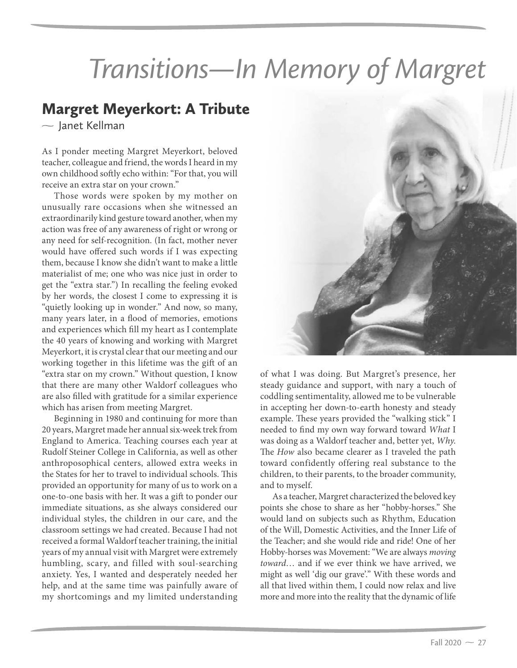## *Transitions—In Memory of Margret*

## $\sim$  Janet Kellman

As I ponder meeting Margret Meyerkort, beloved teacher, colleague and friend, the words I heard in my own childhood softly echo within: "For that, you will receive an extra star on your crown."

Those words were spoken by my mother on unusually rare occasions when she witnessed an extraordinarily kind gesture toward another, when my action was free of any awareness of right or wrong or any need for self-recognition. (In fact, mother never would have offered such words if I was expecting them, because I know she didn't want to make a little materialist of me; one who was nice just in order to get the "extra star.") In recalling the feeling evoked by her words, the closest I come to expressing it is "quietly looking up in wonder." And now, so many, many years later, in a flood of memories, emotions and experiences which fill my heart as I contemplate the 40 years of knowing and working with Margret Meyerkort, it is crystal clear that our meeting and our working together in this lifetime was the gift of an "extra star on my crown." Without question, I know that there are many other Waldorf colleagues who are also filled with gratitude for a similar experience which has arisen from meeting Margret.

Beginning in 1980 and continuing for more than 20 years, Margret made her annual six-week trek from England to America. Teaching courses each year at Rudolf Steiner College in California, as well as other anthroposophical centers, allowed extra weeks in the States for her to travel to individual schools. This provided an opportunity for many of us to work on a one-to-one basis with her. It was a gift to ponder our immediate situations, as she always considered our individual styles, the children in our care, and the classroom settings we had created. Because I had not received a formal Waldorf teacher training, the initial years of my annual visit with Margret were extremely humbling, scary, and filled with soul-searching anxiety. Yes, I wanted and desperately needed her help, and at the same time was painfully aware of my shortcomings and my limited understanding



of what I was doing. But Margret's presence, her steady guidance and support, with nary a touch of coddling sentimentality, allowed me to be vulnerable in accepting her down-to-earth honesty and steady example. These years provided the "walking stick" I needed to find my own way forward toward What I was doing as a Waldorf teacher and, better yet, Why. The How also became clearer as I traveled the path toward confidently offering real substance to the children, to their parents, to the broader community, and to myself.

As a teacher, Margret characterized the beloved key points she chose to share as her "hobby-horses." She would land on subjects such as Rhythm, Education of the Will, Domestic Activities, and the Inner Life of the Teacher; and she would ride and ride! One of her Hobby-horses was Movement: "We are always moving toward… and if we ever think we have arrived, we might as well 'dig our grave'." With these words and all that lived within them, I could now relax and live more and more into the reality that the dynamic of life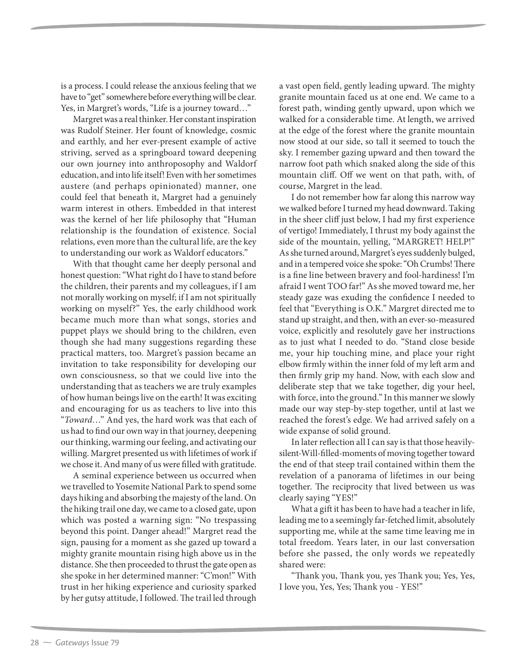is a process. I could release the anxious feeling that we have to "get" somewhere before everything will be clear. Yes, in Margret's words, "Life is a journey toward…"

Margret was a real thinker. Her constant inspiration was Rudolf Steiner. Her fount of knowledge, cosmic and earthly, and her ever-present example of active striving, served as a springboard toward deepening our own journey into anthroposophy and Waldorf education, and into life itself! Even with her sometimes austere (and perhaps opinionated) manner, one could feel that beneath it, Margret had a genuinely warm interest in others. Embedded in that interest was the kernel of her life philosophy that "Human relationship is the foundation of existence. Social relations, even more than the cultural life, are the key to understanding our work as Waldorf educators."

With that thought came her deeply personal and honest question: "What right do I have to stand before the children, their parents and my colleagues, if I am not morally working on myself; if I am not spiritually working on myself?" Yes, the early childhood work became much more than what songs, stories and puppet plays we should bring to the children, even though she had many suggestions regarding these practical matters, too. Margret's passion became an invitation to take responsibility for developing our own consciousness, so that we could live into the understanding that as teachers we are truly examples of how human beings live on the earth! It was exciting and encouraging for us as teachers to live into this "Toward…" And yes, the hard work was that each of us had to find our own way in that journey, deepening our thinking, warming our feeling, and activating our willing. Margret presented us with lifetimes of work if we chose it. And many of us were filled with gratitude.

A seminal experience between us occurred when we travelled to Yosemite National Park to spend some days hiking and absorbing the majesty of the land. On the hiking trail one day, we came to a closed gate, upon which was posted a warning sign: "No trespassing beyond this point. Danger ahead!" Margret read the sign, pausing for a moment as she gazed up toward a mighty granite mountain rising high above us in the distance. She then proceeded to thrust the gate open as she spoke in her determined manner: "C'mon!" With trust in her hiking experience and curiosity sparked by her gutsy attitude, I followed. The trail led through

a vast open field, gently leading upward. The mighty granite mountain faced us at one end. We came to a forest path, winding gently upward, upon which we walked for a considerable time. At length, we arrived at the edge of the forest where the granite mountain now stood at our side, so tall it seemed to touch the sky. I remember gazing upward and then toward the narrow foot path which snaked along the side of this mountain cliff. Off we went on that path, with, of course, Margret in the lead.

I do not remember how far along this narrow way we walked before I turned my head downward. Taking in the sheer cliff just below, I had my first experience of vertigo! Immediately, I thrust my body against the side of the mountain, yelling, "MARGRET! HELP!" As she turned around, Margret's eyes suddenly bulged, and in a tempered voice she spoke: "Oh Crumbs! There is a fine line between bravery and fool-hardiness! I'm afraid I went TOO far!" As she moved toward me, her steady gaze was exuding the confidence I needed to feel that "Everything is O.K." Margret directed me to stand up straight, and then, with an ever-so-measured voice, explicitly and resolutely gave her instructions as to just what I needed to do. "Stand close beside me, your hip touching mine, and place your right elbow firmly within the inner fold of my left arm and then firmly grip my hand. Now, with each slow and deliberate step that we take together, dig your heel, with force, into the ground." In this manner we slowly made our way step-by-step together, until at last we reached the forest's edge. We had arrived safely on a wide expanse of solid ground.

In later reflection all I can say is that those heavilysilent-Will-filled-moments of moving together toward the end of that steep trail contained within them the revelation of a panorama of lifetimes in our being together. The reciprocity that lived between us was clearly saying "YES!"

What a gift it has been to have had a teacher in life, leading me to a seemingly far-fetched limit, absolutely supporting me, while at the same time leaving me in total freedom. Years later, in our last conversation before she passed, the only words we repeatedly shared were:

"Thank you, Thank you, yes Thank you; Yes, Yes, I love you, Yes, Yes; Thank you - YES!"